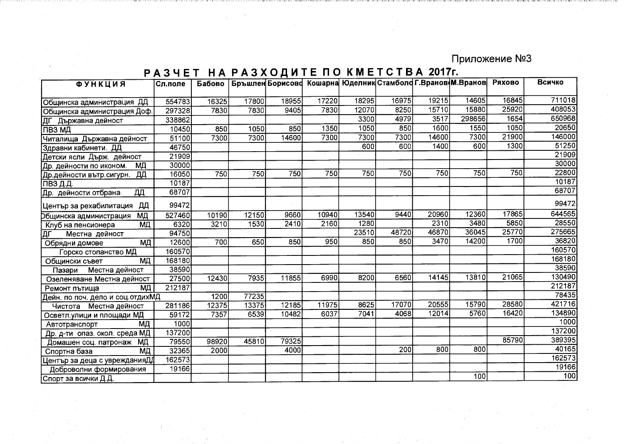Приложение №3

## РАЗЧЕТ НА РАЗХОДИТЕ ПО КМЕТСТВА 2017г.

| <b>ФУНКЦИЯ</b>                               | Сл.поле | Бабово           |       |       |       |       | Бръшлен Борисово Кошарна Юделник Стамболо Г. Вранов М. Вранов |       |        | Ряхово | Всичко |
|----------------------------------------------|---------|------------------|-------|-------|-------|-------|---------------------------------------------------------------|-------|--------|--------|--------|
|                                              |         |                  |       |       | 17220 | 18295 | 16975                                                         | 19215 | 14605  | 16845  | 711018 |
| Общинска администрация ДД                    | 554783  | 16325            | 17800 | 18955 |       | 12070 | 8250                                                          | 15710 | 15880  | 25920  | 408053 |
| Общинска администрация Доф.                  | 297328  | 7830             | 7830  | 9405  | 7830  |       |                                                               |       |        | 1654   | 650968 |
| ДГ Държавна дейност                          | 338862  |                  |       |       |       | 3300  | 4979                                                          | 3517  | 298656 |        |        |
| ПТВЗ МД                                      | 10450   | 850              | 1050  | 850   | 1350  | 1050  | 850                                                           | 1600  | 1550   | 1050   | 20650  |
| Читалища Държавна дейност                    | 51100   | 7300             | 7300  | 14600 | 7300  | 7300  | 7300                                                          | 14600 | 7300   | 21900  | 146000 |
| Здравни кабинети. ДД                         | 46750   |                  |       |       |       | 600   | 600                                                           | 1400  | 600    | 1300   | 51250  |
| Детски ясли Държ. дейност                    | 21909   |                  |       |       |       |       |                                                               |       |        |        | 21909  |
| Др. дейности по иконом.<br>ΜД                | 30000   |                  |       |       |       |       |                                                               |       |        |        | 30000  |
| Др.дейности вътр.сигурн.<br>$\overline{A}$ Д | 16050   | $\overline{750}$ | 750   | 750   | 750   | 750   | 750                                                           | 750   | 750    | 750    | 22800  |
| ПВЗ Д.Д.                                     | 10187   |                  |       |       |       |       |                                                               |       |        |        | 10187  |
| ДД<br>Др. дейности отбрана                   | 68707   |                  |       |       |       |       |                                                               |       |        |        | 68707  |
| ДД<br> Център за рехабилитация               | 99472   |                  |       |       |       |       |                                                               |       |        |        | 99472  |
| МД<br>Dбщинска администрация                 | 527460  | 10190            | 12150 | 9660  | 10940 | 13540 | 9440                                                          | 20960 | 12360  | 17865  | 644565 |
| МД<br>Клуб на пенсионера                     | 6320    | 3210             | 1530  | 2410  | 2160  | 1280  |                                                               | 2310  | 3480   | 5850   | 28550  |
| Местна дейност<br>ΙДΓ                        | 94750   |                  |       |       |       | 23510 | 48720                                                         | 46870 | 36045  | 25770  | 275665 |
| ΜД<br>Обрядни домове                         | 12600   | 700              | 650   | 850   | 950   | 850   | 850                                                           | 3470  | 14200  | 1700   | 36820  |
| Горско стопанство МД                         | 160570  |                  |       |       |       |       |                                                               |       |        |        | 160570 |
| МД<br>Общински съвет                         | 168180  |                  |       |       |       |       |                                                               |       |        |        | 168180 |
| Местна дейност<br>Пазари                     | 38590   |                  |       |       |       |       |                                                               |       |        |        | 38590  |
| Озеленяване Местна дейност                   | 27500   | 12430            | 7935  | 11855 | 6990  | 8200  | 6560                                                          | 14145 | 13810  | 21065  | 130490 |
| ΜД<br>Ремонт пътища                          | 212187  |                  |       |       |       |       |                                                               |       |        |        | 212187 |
| Дейн. по поч. дело и соц.отдихМД             |         | 1200             | 77235 |       |       |       |                                                               |       |        |        | 78435  |
| Чистота Местна дейност                       | 281186  | 12375            | 13375 | 12185 | 11975 | 8625  | 17070                                                         | 20555 | 15790  | 28580  | 421716 |
| Осветл улици и площади МД                    | 59172   | 7357             | 6539  | 10482 | 6037  | 7041  | 4068                                                          | 12014 | 5760   | 16420  | 134890 |
| МД<br>Автотранспорт                          | 1000    |                  |       |       |       |       |                                                               |       |        |        | 1000   |
| Др. д-ти опаз. окол. среда МД                | 137200  |                  |       |       |       |       |                                                               |       |        |        | 137200 |
| МД<br>Домашен соц. патронаж                  | 79550   | 98920            | 45810 | 79325 |       |       |                                                               |       |        | 85790  | 389395 |
| МД<br>Спортна база                           | 32365   | 2000             |       | 4000  |       |       | 200                                                           | 800   | 800    |        | 40165  |
| Център за деца с уврежданияДД                | 162573  |                  |       |       |       |       |                                                               |       |        |        | 162573 |
| Доброволни формирования                      | 19166   |                  |       |       |       |       |                                                               |       |        |        | 19166  |
| Спорт за всички Д.Д.                         |         |                  |       |       |       |       |                                                               |       | 100    |        | 100    |